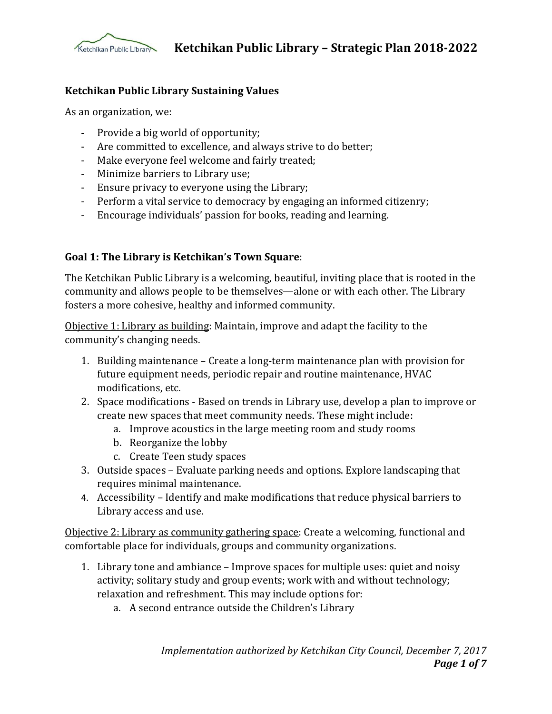

#### **Ketchikan Public Library Sustaining Values**

As an organization, we:

- Provide a big world of opportunity;
- Are committed to excellence, and always strive to do better;
- Make everyone feel welcome and fairly treated;
- Minimize barriers to Library use;
- Ensure privacy to everyone using the Library;
- Perform a vital service to democracy by engaging an informed citizenry;
- Encourage individuals' passion for books, reading and learning.

#### **Goal 1: The Library is Ketchikan's Town Square**:

The Ketchikan Public Library is a welcoming, beautiful, inviting place that is rooted in the community and allows people to be themselves—alone or with each other. The Library fosters a more cohesive, healthy and informed community.

Objective 1: Library as building: Maintain, improve and adapt the facility to the community's changing needs.

- 1. Building maintenance Create a long-term maintenance plan with provision for future equipment needs, periodic repair and routine maintenance, HVAC modifications, etc.
- 2. Space modifications Based on trends in Library use, develop a plan to improve or create new spaces that meet community needs. These might include:
	- a. Improve acoustics in the large meeting room and study rooms
	- b. Reorganize the lobby
	- c. Create Teen study spaces
- 3. Outside spaces Evaluate parking needs and options. Explore landscaping that requires minimal maintenance.
- 4. Accessibility Identify and make modifications that reduce physical barriers to Library access and use.

Objective 2: Library as community gathering space: Create a welcoming, functional and comfortable place for individuals, groups and community organizations.

- 1. Library tone and ambiance Improve spaces for multiple uses: quiet and noisy activity; solitary study and group events; work with and without technology; relaxation and refreshment. This may include options for:
	- a. A second entrance outside the Children's Library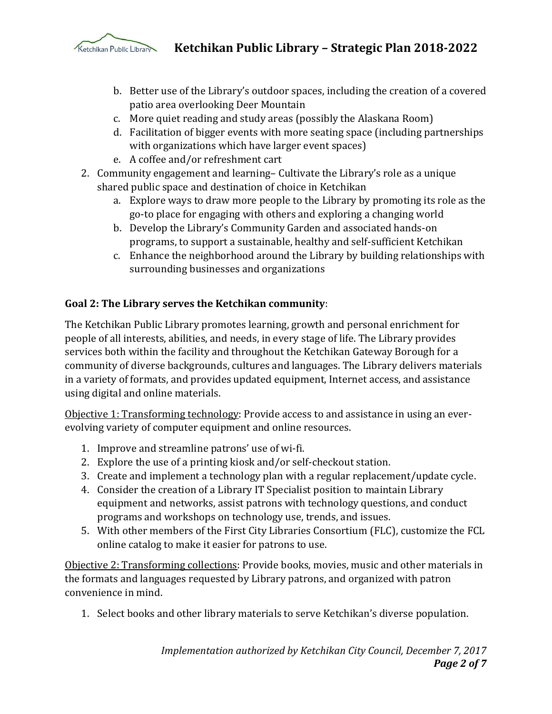

- b. Better use of the Library's outdoor spaces, including the creation of a covered patio area overlooking Deer Mountain
- c. More quiet reading and study areas (possibly the Alaskana Room)
- d. Facilitation of bigger events with more seating space (including partnerships with organizations which have larger event spaces)
- e. A coffee and/or refreshment cart
- 2. Community engagement and learning– Cultivate the Library's role as a unique shared public space and destination of choice in Ketchikan
	- a. Explore ways to draw more people to the Library by promoting its role as the go-to place for engaging with others and exploring a changing world
	- b. Develop the Library's Community Garden and associated hands-on programs, to support a sustainable, healthy and self-sufficient Ketchikan
	- c. Enhance the neighborhood around the Library by building relationships with surrounding businesses and organizations

## **Goal 2: The Library serves the Ketchikan community**:

The Ketchikan Public Library promotes learning, growth and personal enrichment for people of all interests, abilities, and needs, in every stage of life. The Library provides services both within the facility and throughout the Ketchikan Gateway Borough for a community of diverse backgrounds, cultures and languages. The Library delivers materials in a variety of formats, and provides updated equipment, Internet access, and assistance using digital and online materials.

Objective 1: Transforming technology: Provide access to and assistance in using an everevolving variety of computer equipment and online resources.

- 1. Improve and streamline patrons' use of wi-fi.
- 2. Explore the use of a printing kiosk and/or self-checkout station.
- 3. Create and implement a technology plan with a regular replacement/update cycle.
- 4. Consider the creation of a Library IT Specialist position to maintain Library equipment and networks, assist patrons with technology questions, and conduct programs and workshops on technology use, trends, and issues.
- 5. With other members of the First City Libraries Consortium (FLC), customize the FCL online catalog to make it easier for patrons to use.

Objective 2: Transforming collections: Provide books, movies, music and other materials in the formats and languages requested by Library patrons, and organized with patron convenience in mind.

1. Select books and other library materials to serve Ketchikan's diverse population.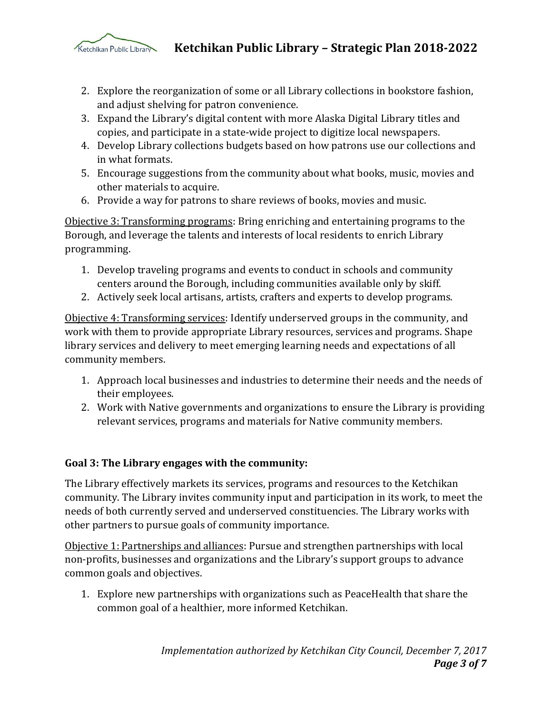

 **Ketchikan Public Library – Strategic Plan 2018-2022**

- 2. Explore the reorganization of some or all Library collections in bookstore fashion, and adjust shelving for patron convenience.
- 3. Expand the Library's digital content with more Alaska Digital Library titles and copies, and participate in a state-wide project to digitize local newspapers.
- 4. Develop Library collections budgets based on how patrons use our collections and in what formats.
- 5. Encourage suggestions from the community about what books, music, movies and other materials to acquire.
- 6. Provide a way for patrons to share reviews of books, movies and music.

Objective 3: Transforming programs: Bring enriching and entertaining programs to the Borough, and leverage the talents and interests of local residents to enrich Library programming.

- 1. Develop traveling programs and events to conduct in schools and community centers around the Borough, including communities available only by skiff.
- 2. Actively seek local artisans, artists, crafters and experts to develop programs.

Objective 4: Transforming services: Identify underserved groups in the community, and work with them to provide appropriate Library resources, services and programs. Shape library services and delivery to meet emerging learning needs and expectations of all community members.

- 1. Approach local businesses and industries to determine their needs and the needs of their employees.
- 2. Work with Native governments and organizations to ensure the Library is providing relevant services, programs and materials for Native community members.

## **Goal 3: The Library engages with the community:**

The Library effectively markets its services, programs and resources to the Ketchikan community. The Library invites community input and participation in its work, to meet the needs of both currently served and underserved constituencies. The Library works with other partners to pursue goals of community importance.

Objective 1: Partnerships and alliances: Pursue and strengthen partnerships with local non-profits, businesses and organizations and the Library's support groups to advance common goals and objectives.

1. Explore new partnerships with organizations such as PeaceHealth that share the common goal of a healthier, more informed Ketchikan.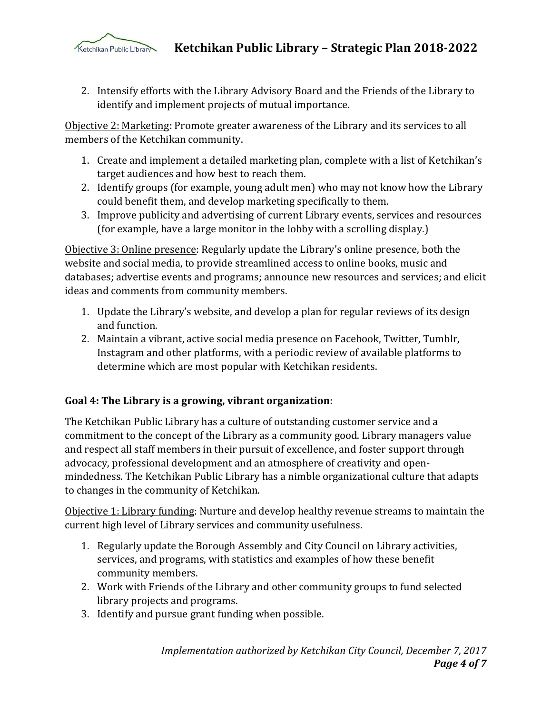

2. Intensify efforts with the Library Advisory Board and the Friends of the Library to identify and implement projects of mutual importance.

Objective 2: Marketing: Promote greater awareness of the Library and its services to all members of the Ketchikan community.

- 1. Create and implement a detailed marketing plan, complete with a list of Ketchikan's target audiences and how best to reach them.
- 2. Identify groups (for example, young adult men) who may not know how the Library could benefit them, and develop marketing specifically to them.
- 3. Improve publicity and advertising of current Library events, services and resources (for example, have a large monitor in the lobby with a scrolling display.)

Objective 3: Online presence: Regularly update the Library's online presence, both the website and social media, to provide streamlined access to online books, music and databases; advertise events and programs; announce new resources and services; and elicit ideas and comments from community members.

- 1. Update the Library's website, and develop a plan for regular reviews of its design and function.
- 2. Maintain a vibrant, active social media presence on Facebook, Twitter, Tumblr, Instagram and other platforms, with a periodic review of available platforms to determine which are most popular with Ketchikan residents.

## **Goal 4: The Library is a growing, vibrant organization**:

The Ketchikan Public Library has a culture of outstanding customer service and a commitment to the concept of the Library as a community good. Library managers value and respect all staff members in their pursuit of excellence, and foster support through advocacy, professional development and an atmosphere of creativity and openmindedness. The Ketchikan Public Library has a nimble organizational culture that adapts to changes in the community of Ketchikan.

Objective 1: Library funding: Nurture and develop healthy revenue streams to maintain the current high level of Library services and community usefulness.

- 1. Regularly update the Borough Assembly and City Council on Library activities, services, and programs, with statistics and examples of how these benefit community members.
- 2. Work with Friends of the Library and other community groups to fund selected library projects and programs.
- 3. Identify and pursue grant funding when possible.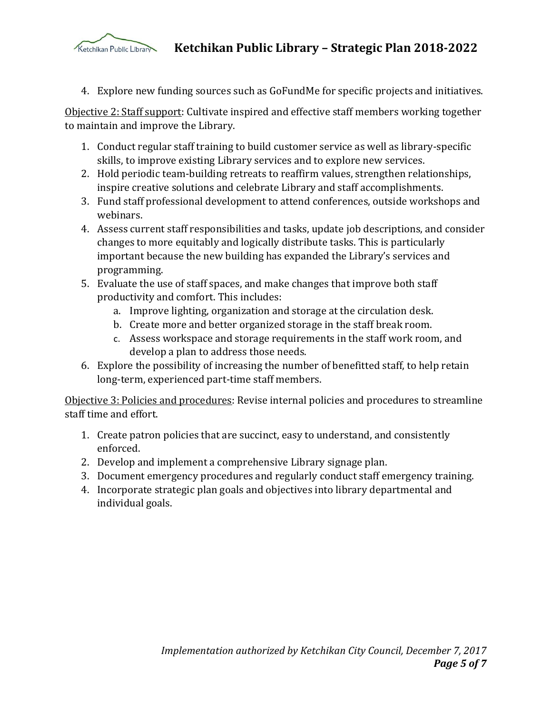

 **Ketchikan Public Library – Strategic Plan 2018-2022**

4. Explore new funding sources such as GoFundMe for specific projects and initiatives.

Objective 2: Staff support: Cultivate inspired and effective staff members working together to maintain and improve the Library.

- 1. Conduct regular staff training to build customer service as well as library-specific skills, to improve existing Library services and to explore new services.
- 2. Hold periodic team-building retreats to reaffirm values, strengthen relationships, inspire creative solutions and celebrate Library and staff accomplishments.
- 3. Fund staff professional development to attend conferences, outside workshops and webinars.
- 4. Assess current staff responsibilities and tasks, update job descriptions, and consider changes to more equitably and logically distribute tasks. This is particularly important because the new building has expanded the Library's services and programming.
- 5. Evaluate the use of staff spaces, and make changes that improve both staff productivity and comfort. This includes:
	- a. Improve lighting, organization and storage at the circulation desk.
	- b. Create more and better organized storage in the staff break room.
	- c. Assess workspace and storage requirements in the staff work room, and develop a plan to address those needs.
- 6. Explore the possibility of increasing the number of benefitted staff, to help retain long-term, experienced part-time staff members.

Objective 3: Policies and procedures: Revise internal policies and procedures to streamline staff time and effort.

- 1. Create patron policies that are succinct, easy to understand, and consistently enforced.
- 2. Develop and implement a comprehensive Library signage plan.
- 3. Document emergency procedures and regularly conduct staff emergency training.
- 4. Incorporate strategic plan goals and objectives into library departmental and individual goals.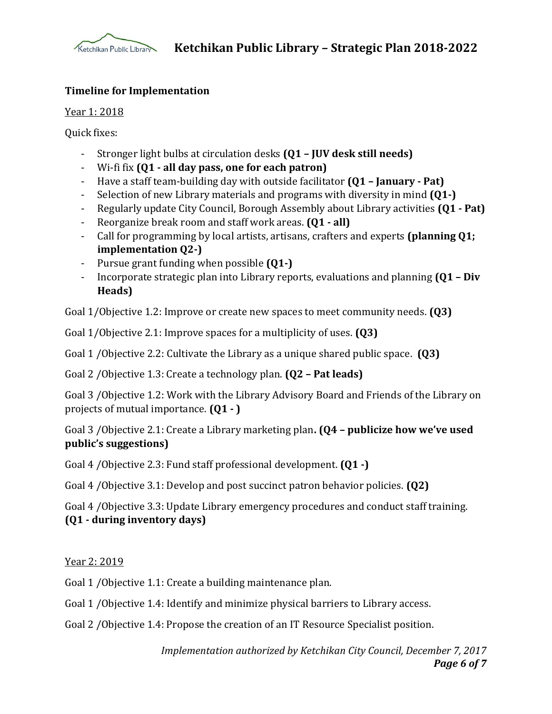

#### **Timeline for Implementation**

Year 1: 2018

Quick fixes:

- Stronger light bulbs at circulation desks **(Q1 – JUV desk still needs)**
- Wi-fi fix **(Q1 - all day pass, one for each patron)**
- Have a staff team-building day with outside facilitator **(Q1 – January - Pat)**
- Selection of new Library materials and programs with diversity in mind **(Q1-)**
- Regularly update City Council, Borough Assembly about Library activities **(Q1 - Pat)**
- Reorganize break room and staff work areas. **(Q1 - all)**
- Call for programming by local artists, artisans, crafters and experts **(planning Q1; implementation Q2-)**
- Pursue grant funding when possible **(Q1-)**
- Incorporate strategic plan into Library reports, evaluations and planning **(Q1 – Div Heads)**

Goal 1/Objective 1.2: Improve or create new spaces to meet community needs. **(Q3)**

Goal 1/Objective 2.1: Improve spaces for a multiplicity of uses. **(Q3)**

Goal 1 /Objective 2.2: Cultivate the Library as a unique shared public space. **(Q3)**

Goal 2 /Objective 1.3: Create a technology plan. **(Q2 – Pat leads)**

Goal 3 /Objective 1.2: Work with the Library Advisory Board and Friends of the Library on projects of mutual importance. **(Q1 - )**

Goal 3 /Objective 2.1: Create a Library marketing plan**. (Q4 – publicize how we've used public's suggestions)**

Goal 4 /Objective 2.3: Fund staff professional development. **(Q1 -)**

Goal 4 /Objective 3.1: Develop and post succinct patron behavior policies. **(Q2)**

Goal 4 /Objective 3.3: Update Library emergency procedures and conduct staff training. **(Q1 - during inventory days)**

Year 2: 2019

Goal 1 /Objective 1.1: Create a building maintenance plan.

Goal 1 /Objective 1.4: Identify and minimize physical barriers to Library access.

Goal 2 /Objective 1.4: Propose the creation of an IT Resource Specialist position.